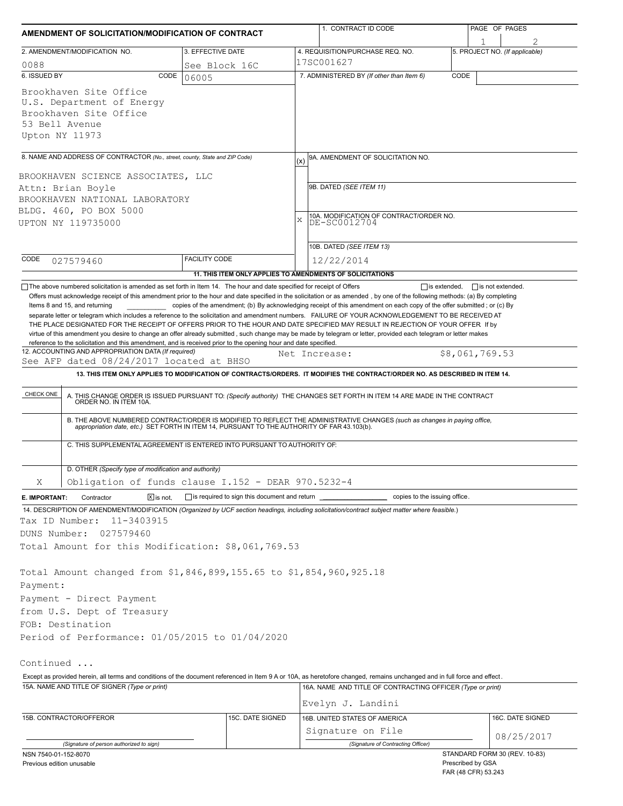| AMENDMENT OF SOLICITATION/MODIFICATION OF CONTRACT                                                                                                                                                                                                                                                                                                                                    |                        |                                                            |               | 1. CONTRACT ID CODE                                                                                                         |                               | PAGE OF PAGES                       |  |
|---------------------------------------------------------------------------------------------------------------------------------------------------------------------------------------------------------------------------------------------------------------------------------------------------------------------------------------------------------------------------------------|------------------------|------------------------------------------------------------|---------------|-----------------------------------------------------------------------------------------------------------------------------|-------------------------------|-------------------------------------|--|
| 2. AMENDMENT/MODIFICATION NO.                                                                                                                                                                                                                                                                                                                                                         | 3. EFFECTIVE DATE      |                                                            |               | 4. REQUISITION/PURCHASE REQ. NO.                                                                                            |                               | 1<br>5. PROJECT NO. (If applicable) |  |
| 0088                                                                                                                                                                                                                                                                                                                                                                                  |                        | 17SC001627                                                 |               |                                                                                                                             |                               |                                     |  |
| 6. ISSUED BY<br>CODE                                                                                                                                                                                                                                                                                                                                                                  | See Block 16C<br>06005 |                                                            |               | 7. ADMINISTERED BY (If other than Item 6)                                                                                   | CODE                          |                                     |  |
| Brookhaven Site Office<br>U.S. Department of Energy<br>Brookhaven Site Office<br>53 Bell Avenue<br>Upton NY 11973                                                                                                                                                                                                                                                                     |                        |                                                            |               |                                                                                                                             |                               |                                     |  |
| 8. NAME AND ADDRESS OF CONTRACTOR (No., street, county, State and ZIP Code)                                                                                                                                                                                                                                                                                                           |                        |                                                            |               | 9A. AMENDMENT OF SOLICITATION NO.                                                                                           |                               |                                     |  |
|                                                                                                                                                                                                                                                                                                                                                                                       |                        |                                                            | (x)           |                                                                                                                             |                               |                                     |  |
| BROOKHAVEN SCIENCE ASSOCIATES, LLC<br>Attn: Brian Boyle<br>BROOKHAVEN NATIONAL LABORATORY<br>BLDG. 460, PO BOX 5000<br>UPTON NY 119735000                                                                                                                                                                                                                                             |                        |                                                            | X             | 9B. DATED (SEE ITEM 11)<br>10A. MODIFICATION OF CONTRACT/ORDER NO.<br>DE-SC0012704                                          |                               |                                     |  |
|                                                                                                                                                                                                                                                                                                                                                                                       |                        |                                                            |               | 10B. DATED (SEE ITEM 13)                                                                                                    |                               |                                     |  |
| CODE<br>027579460                                                                                                                                                                                                                                                                                                                                                                     | <b>FACILITY CODE</b>   |                                                            |               | 12/22/2014                                                                                                                  |                               |                                     |  |
|                                                                                                                                                                                                                                                                                                                                                                                       |                        | 11. THIS ITEM ONLY APPLIES TO AMENDMENTS OF SOLICITATIONS  |               |                                                                                                                             |                               |                                     |  |
| virtue of this amendment you desire to change an offer already submitted, such change may be made by telegram or letter, provided each telegram or letter makes<br>reference to the solicitation and this amendment, and is received prior to the opening hour and date specified.<br>12. ACCOUNTING AND APPROPRIATION DATA (If required)<br>See AFP dated 08/24/2017 located at BHSO |                        |                                                            | Net Increase: | 13. THIS ITEM ONLY APPLIES TO MODIFICATION OF CONTRACTS/ORDERS. IT MODIFIES THE CONTRACT/ORDER NO. AS DESCRIBED IN ITEM 14. |                               | \$8,061,769.53                      |  |
| CHECK ONE                                                                                                                                                                                                                                                                                                                                                                             |                        |                                                            |               |                                                                                                                             |                               |                                     |  |
| A. THIS CHANGE ORDER IS ISSUED PURSUANT TO: (Specify authority) THE CHANGES SET FORTH IN ITEM 14 ARE MADE IN THE CONTRACT ORDER NO. IN ITEM 10A.                                                                                                                                                                                                                                      |                        |                                                            |               |                                                                                                                             |                               |                                     |  |
| B. THE ABOVE NUMBERED CONTRACT/ORDER IS MODIFIED TO REFLECT THE ADMINISTRATIVE CHANGES (such as changes in paying office, appropriation date, etc.) SET FORTH IN ITEM 14, PURSUANT TO THE AUTHORITY OF FAR 43.103(b).                                                                                                                                                                 |                        |                                                            |               |                                                                                                                             |                               |                                     |  |
| C. THIS SUPPLEMENTAL AGREEMENT IS ENTERED INTO PURSUANT TO AUTHORITY OF:                                                                                                                                                                                                                                                                                                              |                        |                                                            |               |                                                                                                                             |                               |                                     |  |
| D. OTHER (Specify type of modification and authority)                                                                                                                                                                                                                                                                                                                                 |                        |                                                            |               |                                                                                                                             |                               |                                     |  |
| Obligation of funds clause I.152 - DEAR 970.5232-4<br>Χ                                                                                                                                                                                                                                                                                                                               |                        |                                                            |               |                                                                                                                             |                               |                                     |  |
| $\boxed{\mathsf{X}}$ is not.<br>E. IMPORTANT:<br>Contractor<br>14. DESCRIPTION OF AMENDMENT/MODIFICATION (Organized by UCF section headings, including solicitation/contract subject matter where feasible.)<br>Tax ID Number:<br>11-3403915<br>DUNS Number:<br>027579460<br>Total Amount for this Modification: \$8,061,769.53                                                       |                        | $\Box$ is required to sign this document and return $\Box$ |               |                                                                                                                             | copies to the issuing office. |                                     |  |
| Total Amount changed from \$1,846,899,155.65 to \$1,854,960,925.18<br>Payment:                                                                                                                                                                                                                                                                                                        |                        |                                                            |               |                                                                                                                             |                               |                                     |  |
| Payment - Direct Payment                                                                                                                                                                                                                                                                                                                                                              |                        |                                                            |               |                                                                                                                             |                               |                                     |  |
| from U.S. Dept of Treasury<br>FOB: Destination                                                                                                                                                                                                                                                                                                                                        |                        |                                                            |               |                                                                                                                             |                               |                                     |  |
| Period of Performance: 01/05/2015 to 01/04/2020                                                                                                                                                                                                                                                                                                                                       |                        |                                                            |               |                                                                                                                             |                               |                                     |  |
| Continued                                                                                                                                                                                                                                                                                                                                                                             |                        |                                                            |               |                                                                                                                             |                               |                                     |  |
| Except as provided herein, all terms and conditions of the document referenced in Item 9 A or 10A, as heretofore changed, remains unchanged and in full force and effect.                                                                                                                                                                                                             |                        |                                                            |               |                                                                                                                             |                               |                                     |  |
| 15A. NAME AND TITLE OF SIGNER (Type or print)                                                                                                                                                                                                                                                                                                                                         |                        |                                                            |               | 16A. NAME AND TITLE OF CONTRACTING OFFICER (Type or print)<br>Evelyn J. Landini                                             |                               |                                     |  |
|                                                                                                                                                                                                                                                                                                                                                                                       |                        |                                                            |               |                                                                                                                             |                               |                                     |  |
|                                                                                                                                                                                                                                                                                                                                                                                       |                        |                                                            |               |                                                                                                                             |                               |                                     |  |
|                                                                                                                                                                                                                                                                                                                                                                                       |                        | 15C. DATE SIGNED                                           |               | 16B. UNITED STATES OF AMERICA                                                                                               |                               | 16C. DATE SIGNED                    |  |
| 15B. CONTRACTOR/OFFEROR<br>(Signature of person authorized to sign)                                                                                                                                                                                                                                                                                                                   |                        |                                                            |               | Signature on File<br>(Signature of Contracting Officer)                                                                     |                               | 08/25/2017                          |  |

FAR (48 CFR) 53.243